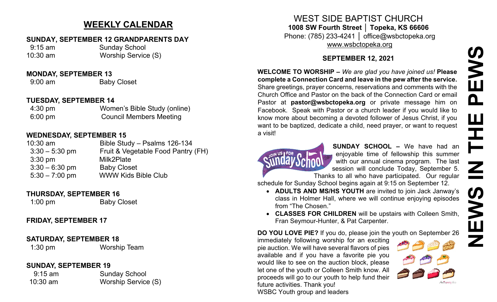# **WEEKLY CALENDAR**

#### **SUNDAY, SEPTEMBER 12 GRANDPARENTS DAY**

 9:15 am Sunday School 10:30 am Worship Service (S)

#### **MONDAY, SEPTEMBER 13**

9:00 am Baby Closet

## **TUESDAY, SEPTEMBER 14**

| $4:30 \text{ pm}$ | Women's Bible Study (online)   |
|-------------------|--------------------------------|
| $6:00 \text{ pm}$ | <b>Council Members Meeting</b> |

## **WEDNESDAY, SEPTEMBER 15**

| $10:30$ am        | Bible Study - Psalms 126-134       |
|-------------------|------------------------------------|
| $3:30 - 5:30$ pm  | Fruit & Vegetable Food Pantry (FH) |
| $3:30 \text{ pm}$ | Milk2Plate                         |
| $3:30 - 6:30$ pm  | <b>Baby Closet</b>                 |
| $5:30 - 7:00$ pm  | <b>WWW Kids Bible Club</b>         |

## **THURSDAY, SEPTEMBER 16**

1:00 pm Baby Closet

## **FRIDAY, SEPTEMBER 17**

## **SATURDAY, SEPTEMBER 18**

1:30 pm Worship Team

## **SUNDAY, SEPTEMBER 19**

| $9:15$ am  | <b>Sunday School</b> |
|------------|----------------------|
| $10:30$ am | Worship Service (S)  |

## WEST SIDE BAPTIST CHURCH **1008 SW Fourth Street │ Topeka, KS 66606** Phone: (785) 233-4241 │ office@wsbctopeka.org [www.wsbctopeka.org](http://www.wsbctopeka.org/)

## **SEPTEMBER 12, 2021**

**WELCOME TO WORSHIP –** *We are glad you have joined us!* **Please complete a Connection Card and leave in the pew after the service.** Share greetings, prayer concerns, reservations and comments with the Church Office and Pastor on the back of the Connection Card or email Pastor at **pastor@wsbctopeka.org** or private message him on Facebook. [S](https://www.facebook.com/ivangreuter.)peak with Pastor or a church leader if you would like to know more about becoming a devoted follower of Jesus Christ, if you want to be baptized, dedicate a child, need prayer, or want to request a visit!



**SUNDAY SCHOOL –** We have had an enjoyable time of fellowship this summer with our annual cinema program. The last session will conclude Today, September 5. Thanks to all who have participated. Our regular

schedule for Sunday School begins again at 9:15 on September 12.

- **ADULTS AND MS/HS YOUTH** are invited to join Jack Janway's class in Holmer Hall, where we will continue enjoying episodes from "The Chosen."
- **CLASSES FOR CHILDREN** will be upstairs with Colleen Smith, Fran Seymour-Hunter, & Pat Carpenter.

**DO YOU LOVE PIE?** If you do, please join the youth on September 26

immediately following worship for an exciting pie auction. We will have several flavors of pies available and if you have a favorite pie you would like to see on the auction block, please let one of the youth or Colleen Smith know. All proceeds will go to our youth to help fund their future activities. Thank you! WSBC Youth group and leaders

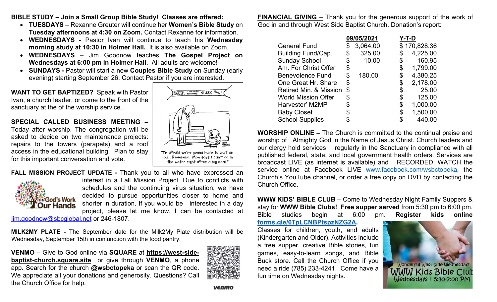**BIBLE STUDY – Join a Small Group Bible Study! Classes are offered:** 

- **TUESDAYS** Rexanne Greuter will continue her **Women's Bible Study** on **Tuesday afternoons at 4:30 on Zoom.** Contact Rexanne for information.
- **WEDNESDAYS** Pastor Ivan will continue to teach his **Wednesday morning study at 10:30 in Holmer Hall.** It is also available on Zoom.
- **WEDNESDAYS**  Jim Goodnow teaches **The Gospel Project on Wednesdays at 6:00 pm in Holmer Hall**. All adults are welcome!
- **SUNDAYS -** Pastor will start a new **Couples Bible Study** on Sunday (early evening) starting September 26. Contact Pastor if you are interested.

**WANT TO GET BAPTIZED?** Speak with Pastor Ivan, a church leader, or come to the front of the sanctuary at the of the worship service.

**SPECIAL CALLED BUSINESS MEETING –**

Today after worship. The congregation will be asked to decide on two maintenance projects: repairs to the towers (parapets) and a roof access in the educational building. Plan to stay for this important conversation and vote.



**FALL MISSION PROJECT UPDATE -** Thank you to all who have expressed an interest in a Fall Mission Project. Due to conflicts with schedules and the continuing virus situation, we have decided to pursue opportunities closer to home and God's Work shorter in duration. If you would be interested in a day **Dur Hands** project, please let me know. I can be contacted at

[jim.goodnow@sbcglobal.net](mailto:jim.goodnow@sbcglobal.net) or 246-1807.

**MILK2MY PLATE -** The September date for the Milk2My Plate distribution will be Wednesday, September 15th in conjunction with the food pantry.

**VENMO –** Give to God online via **SQUARE** at **[https://west](https://west-side-baptist-church.square.site/)-sidebaptist-[church.square.site](https://west-side-baptist-church.square.site/)** or give through **VENMO**, a phone app. Search for the church **@wsbctopeka** or scan the QR code. We appreciate all your donations and generosity. Questions? Call the Church Office for help.



**FINANCIAL GIVING** – Thank you for the generous support of the work of God in and through West Side Baptist Church. Donation's report:

|                            | 09/05/2021 |          | Y-T-D |              |
|----------------------------|------------|----------|-------|--------------|
| <b>General Fund</b>        |            | 3,064.00 |       | \$170,828.36 |
| Building Fund/Cap.         |            | 325.00   |       | 4,225.00     |
| <b>Sunday School</b>       |            | 10.00    | \$    | 160.95       |
| Am. For Christ Offer       | \$         |          | \$    | 1,799.00     |
| <b>Benevolence Fund</b>    | \$         | 180.00   | \$    | 4,380.25     |
| One Great Hr. Share        |            |          | \$    | 2,178.00     |
| Retired Min. & Mission     |            |          | \$    | 25.00        |
| <b>World Mission Offer</b> | \$         |          | \$    | 125.00       |
| Harvester' M2MP            |            |          | \$    | 1,000.00     |
| <b>Baby Closet</b>         |            |          | \$    | 1,500.00     |
| <b>School Supplies</b>     |            |          |       | 440.00       |

**WORSHIP ONLINE –** The Church is committed to the continual praise and worship of Almighty God in the Name of Jesus Christ. Church leaders and our clergy hold services regularly in the Sanctuary in compliance with all published federal, state, and local government health orders. Services are broadcast LIVE (as internet is available) and RECORDED. WATCH the service online at Facebook LIVE [www.facebook.com/wsbctopeka](http://www.facebook.com/wsbctopeka), the Church's YouTube channel, or order a free copy on DVD by contacting the Church Office.

**WWW KIDS' BIBLE CLUB –** Come to Wednesday Night Family Suppers & stay for **WWW Bible Clubs! Free supper served** from 5:30 pm to 6:00 pm. Bible studies begin at 6:00 pm. **Register kids online [forms.gle/6TpLCNBPtspzNZG2A.](https://forms.gle/6TpLCNBPtspzNZG2A)** 

Classes for children, youth, and adults (Kindergarten and Older). Activities include a free supper, creative Bible stories, fun games, easy-to-learn songs, and Bible Buck store. Call the Church Office if you need a ride (785) 233-4241. Come have a fun time on Wednesday nights.